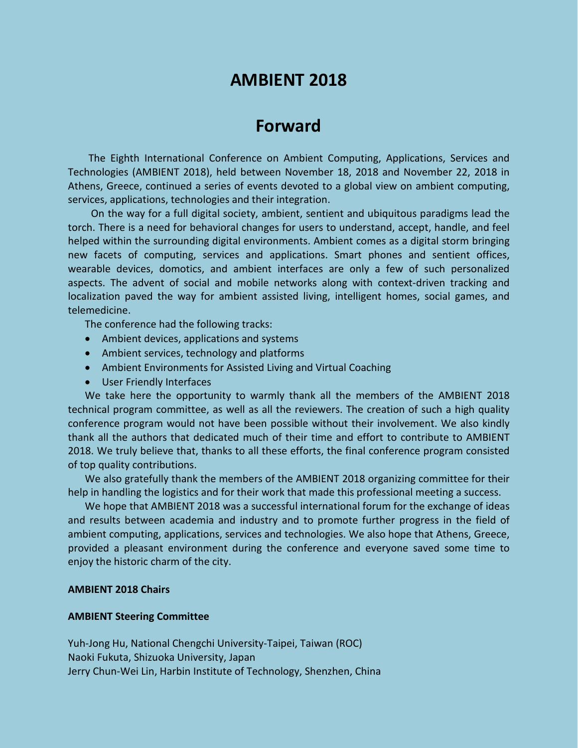# **AMBIENT 2018**

## **Forward**

The Eighth International Conference on Ambient Computing, Applications, Services and Technologies (AMBIENT 2018), held between November 18, 2018 and November 22, 2018 in Athens, Greece, continued a series of events devoted to a global view on ambient computing, services, applications, technologies and their integration.

On the way for a full digital society, ambient, sentient and ubiquitous paradigms lead the torch. There is a need for behavioral changes for users to understand, accept, handle, and feel helped within the surrounding digital environments. Ambient comes as a digital storm bringing new facets of computing, services and applications. Smart phones and sentient offices, wearable devices, domotics, and ambient interfaces are only a few of such personalized aspects. The advent of social and mobile networks along with context-driven tracking and localization paved the way for ambient assisted living, intelligent homes, social games, and telemedicine.

The conference had the following tracks:

- Ambient devices, applications and systems
- Ambient services, technology and platforms
- Ambient Environments for Assisted Living and Virtual Coaching
- User Friendly Interfaces

We take here the opportunity to warmly thank all the members of the AMBIENT 2018 technical program committee, as well as all the reviewers. The creation of such a high quality conference program would not have been possible without their involvement. We also kindly thank all the authors that dedicated much of their time and effort to contribute to AMBIENT 2018. We truly believe that, thanks to all these efforts, the final conference program consisted of top quality contributions.

We also gratefully thank the members of the AMBIENT 2018 organizing committee for their help in handling the logistics and for their work that made this professional meeting a success.

We hope that AMBIENT 2018 was a successful international forum for the exchange of ideas and results between academia and industry and to promote further progress in the field of ambient computing, applications, services and technologies. We also hope that Athens, Greece, provided a pleasant environment during the conference and everyone saved some time to enjoy the historic charm of the city.

#### **AMBIENT 2018 Chairs**

#### **AMBIENT Steering Committee**

Yuh-Jong Hu, National Chengchi University-Taipei, Taiwan (ROC) Naoki Fukuta, Shizuoka University, Japan Jerry Chun-Wei Lin, Harbin Institute of Technology, Shenzhen, China